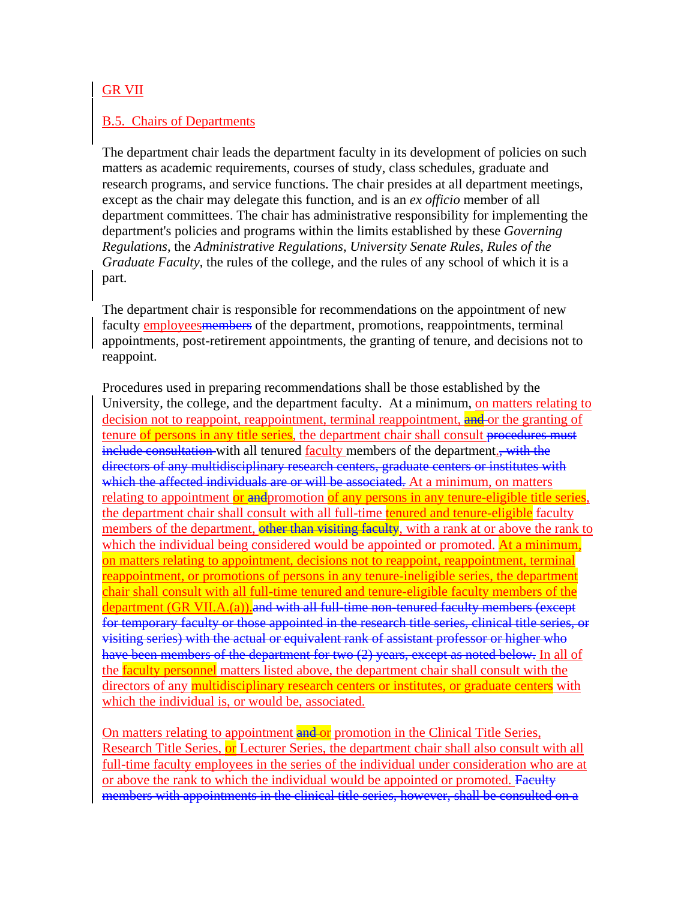## GR VII

## B.5. Chairs of Departments

The department chair leads the department faculty in its development of policies on such matters as academic requirements, courses of study, class schedules, graduate and research programs, and service functions. The chair presides at all department meetings, except as the chair may delegate this function, and is an *ex officio* member of all department committees. The chair has administrative responsibility for implementing the department's policies and programs within the limits established by these *Governing Regulations*, the *Administrative Regulations*, *University Senate Rules*, *Rules of the Graduate Faculty*, the rules of the college, and the rules of any school of which it is a part.

The department chair is responsible for recommendations on the appointment of new faculty employees members of the department, promotions, reappointments, terminal appointments, post-retirement appointments, the granting of tenure, and decisions not to reappoint.

Procedures used in preparing recommendations shall be those established by the University, the college, and the department faculty. At a minimum, on matters relating to decision not to reappoint, reappointment, terminal reappointment, and or the granting of tenure of persons in any title series, the department chair shall consult procedures must include consultation with all tenured faculty members of the department., with the directors of any multidisciplinary research centers, graduate centers or institutes with which the affected individuals are or will be associated. At a minimum, on matters relating to appointment or and promotion of any persons in any tenure-eligible title series, the department chair shall consult with all full-time tenured and tenure-eligible faculty members of the department, other than visiting faculty, with a rank at or above the rank to which the individual being considered would be appointed or promoted. At a minimum, on matters relating to appointment, decisions not to reappoint, reappointment, terminal reappointment, or promotions of persons in any tenure-ineligible series, the department chair shall consult with all full-time tenured and tenure-eligible faculty members of the department (GR VII.A.(a)). and with all full-time non-tenured faculty members (except for temporary faculty or those appointed in the research title series, clinical title series, or visiting series) with the actual or equivalent rank of assistant professor or higher who have been members of the department for two (2) years, except as noted below. In all of the faculty personnel matters listed above, the department chair shall consult with the directors of any multidisciplinary research centers or institutes, or graduate centers with which the individual is, or would be, associated.

On matters relating to appointment and or promotion in the Clinical Title Series, Research Title Series, or Lecturer Series, the department chair shall also consult with all full-time faculty employees in the series of the individual under consideration who are at or above the rank to which the individual would be appointed or promoted. Faculty members with appointments in the clinical title series, however, shall be consulted on a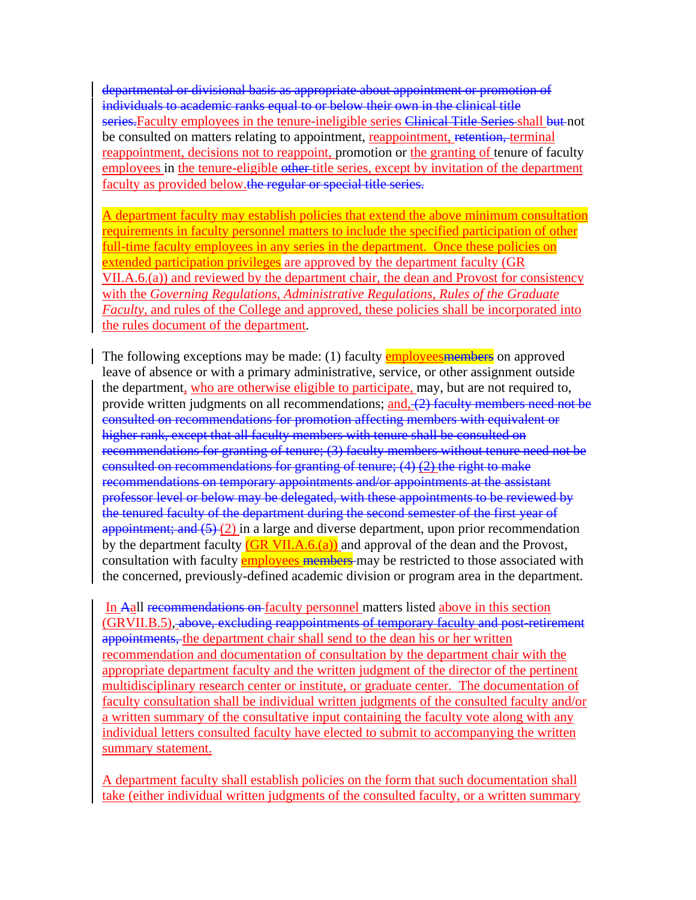departmental or divisional basis as appropriate about appointment or promotion of individuals to academic ranks equal to or below their own in the clinical title series. Faculty employees in the tenure-ineligible series Clinical Title Series shall but not be consulted on matters relating to appointment, reappointment, retention, terminal reappointment, decisions not to reappoint, promotion or the granting of tenure of faculty employees in the tenure-eligible other title series, except by invitation of the department faculty as provided below.the regular or special title series.

A department faculty may establish policies that extend the above minimum consultation requirements in faculty personnel matters to include the specified participation of other full-time faculty employees in any series in the department. Once these policies on extended participation privileges are approved by the department faculty (GR VII.A.6.(a)) and reviewed by the department chair, the dean and Provost for consistency with the *Governing Regulations*, *Administrative Regulations*, *Rules of the Graduate Faculty*, and rules of the College and approved, these policies shall be incorporated into the rules document of the department.

The following exceptions may be made: (1) faculty employees members on approved leave of absence or with a primary administrative, service, or other assignment outside the department, who are otherwise eligible to participate, may, but are not required to, provide written judgments on all recommendations; and, (2) faculty members need not be consulted on recommendations for promotion affecting members with equivalent or higher rank, except that all faculty members with tenure shall be consulted on recommendations for granting of tenure; (3) faculty members without tenure need not be consulted on recommendations for granting of tenure; (4) (2) the right to make recommendations on temporary appointments and/or appointments at the assistant professor level or below may be delegated, with these appointments to be reviewed by the tenured faculty of the department during the second semester of the first year of appointment; and  $(5)$   $(2)$  in a large and diverse department, upon prior recommendation by the department faculty  $(GR VII.A.6.(a))$  and approval of the dean and the Provost, consultation with faculty employees members may be restricted to those associated with the concerned, previously-defined academic division or program area in the department.

In Aall recommendations on faculty personnel matters listed above in this section (GRVII.B.5), above, excluding reappointments of temporary faculty and post-retirement appointments, the department chair shall send to the dean his or her written recommendation and documentation of consultation by the department chair with the appropriate department faculty and the written judgment of the director of the pertinent multidisciplinary research center or institute, or graduate center. The documentation of faculty consultation shall be individual written judgments of the consulted faculty and/or a written summary of the consultative input containing the faculty vote along with any individual letters consulted faculty have elected to submit to accompanying the written summary statement.

A department faculty shall establish policies on the form that such documentation shall take (either individual written judgments of the consulted faculty, or a written summary